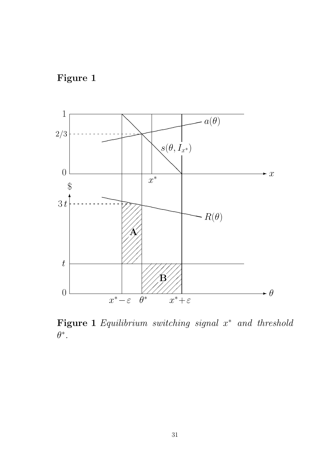



**Figure 1** Equilibrium switching signal <sup>x</sup><sup>∗</sup> and threshold  $\theta^*$ .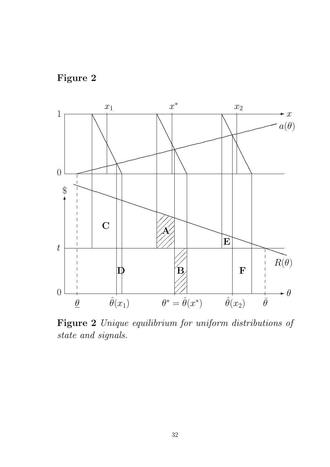



**Figure 2** Unique equilibrium for uniform distributions of state and signals.